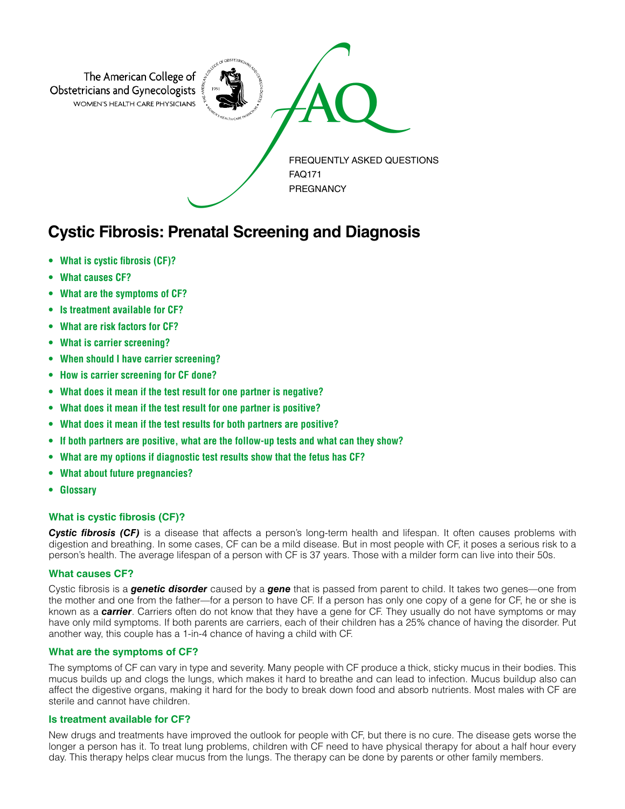

# **Cystic Fibrosis: Prenatal Screening and Diagnosis**

- **• What is cystic fibrosis (CF)?**
- **What causes CF?**
- **What are the symptoms of CF?**
- **Is treatment available for CF?**
- **What are risk factors for CF?**
- **What is carrier screening?**
- **When should I have carrier screening?**
- **How is carrier screening for CF done?**
- **What does it mean if the test result for one partner is negative?**
- **What does it mean if the test result for one partner is positive?**
- **What does it mean if the test results for both partners are positive?**
- **If both partners are positive, what are the follow-up tests and what can they show?**
- **What are my options if diagnostic test results show that the fetus has CF?**
- **What about future pregnancies?**
- **Glossary**

## **What is cystic fibrosis (CF)?**

*Cystic fibrosis (CF)* is a disease that affects a person's long-term health and lifespan. It often causes problems with digestion and breathing. In some cases, CF can be a mild disease. But in most people with CF, it poses a serious risk to a person's health. The average lifespan of a person with CF is 37 years. Those with a milder form can live into their 50s.

## **What causes CF?**

Cystic fibrosis is a *genetic disorder* caused by a *gene* that is passed from parent to child. It takes two genes—one from the mother and one from the father—for a person to have CF. If a person has only one copy of a gene for CF, he or she is known as a *carrier*. Carriers often do not know that they have a gene for CF. They usually do not have symptoms or may have only mild symptoms. If both parents are carriers, each of their children has a 25% chance of having the disorder. Put another way, this couple has a 1-in-4 chance of having a child with CF.

## **What are the symptoms of CF?**

The symptoms of CF can vary in type and severity. Many people with CF produce a thick, sticky mucus in their bodies. This mucus builds up and clogs the lungs, which makes it hard to breathe and can lead to infection. Mucus buildup also can affect the digestive organs, making it hard for the body to break down food and absorb nutrients. Most males with CF are sterile and cannot have children.

## **Is treatment available for CF?**

New drugs and treatments have improved the outlook for people with CF, but there is no cure. The disease gets worse the longer a person has it. To treat lung problems, children with CF need to have physical therapy for about a half hour every day. This therapy helps clear mucus from the lungs. The therapy can be done by parents or other family members.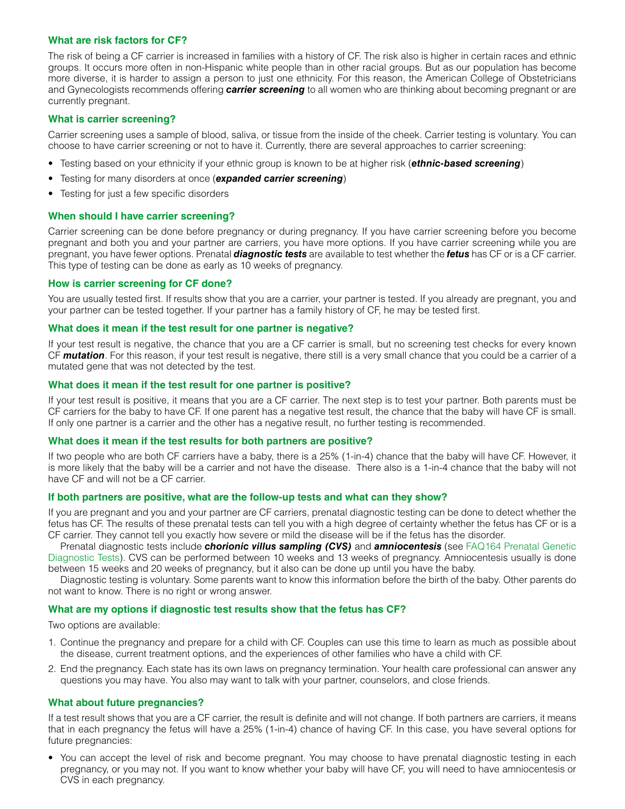#### **What are risk factors for CF?**

The risk of being a CF carrier is increased in families with a history of CF. The risk also is higher in certain races and ethnic groups. It occurs more often in non-Hispanic white people than in other racial groups. But as our population has become more diverse, it is harder to assign a person to just one ethnicity. For this reason, the American College of Obstetricians and Gynecologists recommends offering *carrier screening* to all women who are thinking about becoming pregnant or are currently pregnant.

#### **What is carrier screening?**

Carrier screening uses a sample of blood, saliva, or tissue from the inside of the cheek. Carrier testing is voluntary. You can choose to have carrier screening or not to have it. Currently, there are several approaches to carrier screening:

- Testing based on your ethnicity if your ethnic group is known to be at higher risk (*ethnic-based screening*)
- Testing for many disorders at once (*expanded carrier screening*)
- Testing for just a few specific disorders

#### **When should I have carrier screening?**

Carrier screening can be done before pregnancy or during pregnancy. If you have carrier screening before you become pregnant and both you and your partner are carriers, you have more options. If you have carrier screening while you are pregnant, you have fewer options. Prenatal *diagnostic tests* are available to test whether the *fetus* has CF or is a CF carrier. This type of testing can be done as early as 10 weeks of pregnancy.

#### **How is carrier screening for CF done?**

You are usually tested first. If results show that you are a carrier, your partner is tested. If you already are pregnant, you and your partner can be tested together. If your partner has a family history of CF, he may be tested first.

#### **What does it mean if the test result for one partner is negative?**

If your test result is negative, the chance that you are a CF carrier is small, but no screening test checks for every known CF *mutation*. For this reason, if your test result is negative, there still is a very small chance that you could be a carrier of a mutated gene that was not detected by the test.

#### **What does it mean if the test result for one partner is positive?**

If your test result is positive, it means that you are a CF carrier. The next step is to test your partner. Both parents must be CF carriers for the baby to have CF. If one parent has a negative test result, the chance that the baby will have CF is small. If only one partner is a carrier and the other has a negative result, no further testing is recommended.

#### **What does it mean if the test results for both partners are positive?**

If two people who are both CF carriers have a baby, there is a 25% (1-in-4) chance that the baby will have CF. However, it is more likely that the baby will be a carrier and not have the disease. There also is a 1-in-4 chance that the baby will not have CF and will not be a CF carrier.

#### **If both partners are positive, what are the follow-up tests and what can they show?**

If you are pregnant and you and your partner are CF carriers, prenatal diagnostic testing can be done to detect whether the fetus has CF. The results of these prenatal tests can tell you with a high degree of certainty whether the fetus has CF or is a CF carrier. They cannot tell you exactly how severe or mild the disease will be if the fetus has the disorder.

Prenatal diagnostic tests include *chorionic villus sampling (CVS)* and *amniocentesis* (see [FAQ164 Prenatal Genetic](http://www.acog.org/Patients/FAQs/Prenatal-Genetic-Diagnostic-Tests)  [Diagnostic Tests](http://www.acog.org/Patients/FAQs/Prenatal-Genetic-Diagnostic-Tests)). CVS can be performed between 10 weeks and 13 weeks of pregnancy. Amniocentesis usually is done between 15 weeks and 20 weeks of pregnancy, but it also can be done up until you have the baby.

Diagnostic testing is voluntary. Some parents want to know this information before the birth of the baby. Other parents do not want to know. There is no right or wrong answer.

#### **What are my options if diagnostic test results show that the fetus has CF?**

Two options are available:

- 1. Continue the pregnancy and prepare for a child with CF. Couples can use this time to learn as much as possible about the disease, current treatment options, and the experiences of other families who have a child with CF.
- 2. End the pregnancy. Each state has its own laws on pregnancy termination. Your health care professional can answer any questions you may have. You also may want to talk with your partner, counselors, and close friends.

## **What about future pregnancies?**

If a test result shows that you are a CF carrier, the result is definite and will not change. If both partners are carriers, it means that in each pregnancy the fetus will have a 25% (1-in-4) chance of having CF. In this case, you have several options for future pregnancies:

• You can accept the level of risk and become pregnant. You may choose to have prenatal diagnostic testing in each pregnancy, or you may not. If you want to know whether your baby will have CF, you will need to have amniocentesis or CVS in each pregnancy.